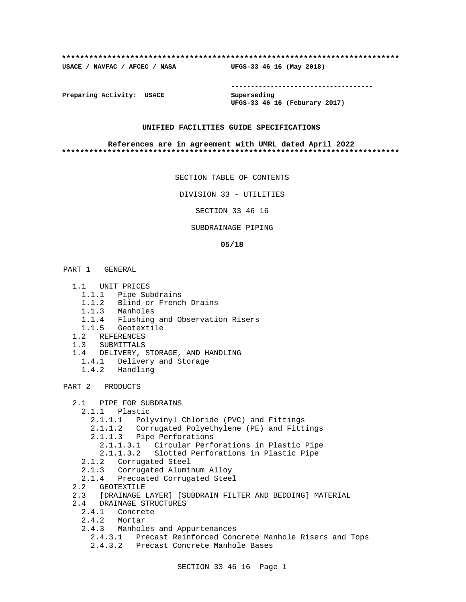### **\*\*\*\*\*\*\*\*\*\*\*\*\*\*\*\*\*\*\*\*\*\*\*\*\*\*\*\*\*\*\*\*\*\*\*\*\*\*\*\*\*\*\*\*\*\*\*\*\*\*\*\*\*\*\*\*\*\*\*\*\*\*\*\*\*\*\*\*\*\*\*\*\*\***

**USACE / NAVFAC / AFCEC / NASA UFGS-33 46 16 (May 2018)**

**------------------------------------**

**Preparing Activity: USACE Superseding**

**UFGS-33 46 16 (Feburary 2017)**

# **UNIFIED FACILITIES GUIDE SPECIFICATIONS**

### **References are in agreement with UMRL dated April 2022 \*\*\*\*\*\*\*\*\*\*\*\*\*\*\*\*\*\*\*\*\*\*\*\*\*\*\*\*\*\*\*\*\*\*\*\*\*\*\*\*\*\*\*\*\*\*\*\*\*\*\*\*\*\*\*\*\*\*\*\*\*\*\*\*\*\*\*\*\*\*\*\*\*\***

SECTION TABLE OF CONTENTS

DIVISION 33 - UTILITIES

SECTION 33 46 16

# SUBDRAINAGE PIPING

### **05/18**

PART 1 GENERAL

- 1.1 UNIT PRICES
	- 1.1.1 Pipe Subdrains
	- 1.1.2 Blind or French Drains
	- 1.1.3 Manholes
	- 1.1.4 Flushing and Observation Risers
- 1.1.5 Geotextile
- 1.2 REFERENCES
- 1.3 SUBMITTALS
- 1.4 DELIVERY, STORAGE, AND HANDLING
	- 1.4.1 Delivery and Storage
	- 1.4.2 Handling

PART 2 PRODUCTS

- 2.1 PIPE FOR SUBDRAINS
	- 2.1.1 Plastic
		- 2.1.1.1 Polyvinyl Chloride (PVC) and Fittings
		- 2.1.1.2 Corrugated Polyethylene (PE) and Fittings
		- 2.1.1.3 Pipe Perforations
			- 2.1.1.3.1 Circular Perforations in Plastic Pipe
			- 2.1.1.3.2 Slotted Perforations in Plastic Pipe
	- 2.1.2 Corrugated Steel
	- 2.1.3 Corrugated Aluminum Alloy
- 2.1.4 Precoated Corrugated Steel
- 2.2 GEOTEXTILE
- 2.3 [DRAINAGE LAYER] [SUBDRAIN FILTER AND BEDDING] MATERIAL
- 2.4 DRAINAGE STRUCTURES
	- 2.4.1 Concrete
	- 2.4.2 Mortar
	- 2.4.3 Manholes and Appurtenances
		- 2.4.3.1 Precast Reinforced Concrete Manhole Risers and Tops
		- 2.4.3.2 Precast Concrete Manhole Bases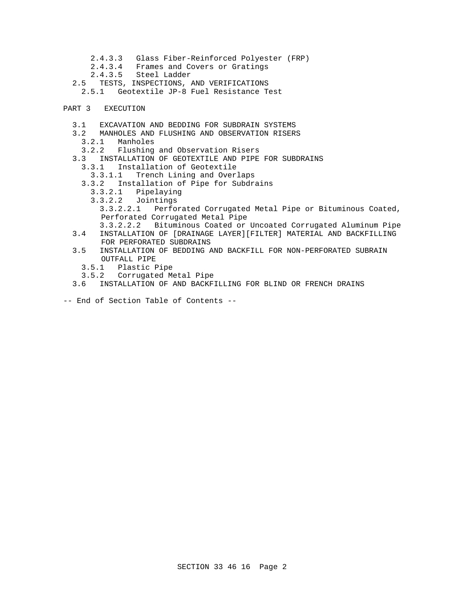- 2.4.3.3 Glass Fiber-Reinforced Polyester (FRP)
- 2.4.3.4 Frames and Covers or Gratings
- 2.4.3.5 Steel Ladder
- 2.5 TESTS, INSPECTIONS, AND VERIFICATIONS
	- 2.5.1 Geotextile JP-8 Fuel Resistance Test

# PART 3 EXECUTION

- 3.1 EXCAVATION AND BEDDING FOR SUBDRAIN SYSTEMS
- 3.2 MANHOLES AND FLUSHING AND OBSERVATION RISERS
	- 3.2.1 Manholes
- 3.2.2 Flushing and Observation Risers
- 3.3 INSTALLATION OF GEOTEXTILE AND PIPE FOR SUBDRAINS
	- 3.3.1 Installation of Geotextile
	- 3.3.1.1 Trench Lining and Overlaps
	- 3.3.2 Installation of Pipe for Subdrains
		- 3.3.2.1 Pipelaying
		- 3.3.2.2 Jointings
			- 3.3.2.2.1 Perforated Corrugated Metal Pipe or Bituminous Coated, Perforated Corrugated Metal Pipe
- 3.3.2.2.2 Bituminous Coated or Uncoated Corrugated Aluminum Pipe 3.4 INSTALLATION OF [DRAINAGE LAYER][FILTER] MATERIAL AND BACKFILLING FOR PERFORATED SUBDRAINS
- 3.5 INSTALLATION OF BEDDING AND BACKFILL FOR NON-PERFORATED SUBRAIN OUTFALL PIPE
	- 3.5.1 Plastic Pipe
	- 3.5.2 Corrugated Metal Pipe
- 3.6 INSTALLATION OF AND BACKFILLING FOR BLIND OR FRENCH DRAINS
- -- End of Section Table of Contents --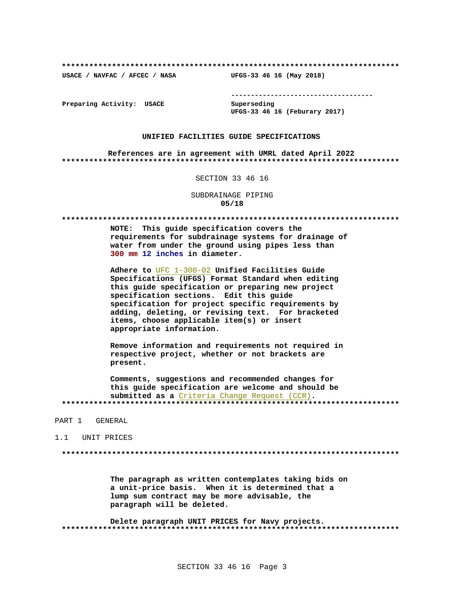USACE / NAVFAC / AFCEC / NASA

--------------------------------------

Preparing Activity: USACE

Superseding UFGS-33 46 16 (Feburary 2017)

UFGS-33 46 16 (May 2018)

# UNIFIED FACILITIES GUIDE SPECIFICATIONS

References are in agreement with UMRL dated April 2022 

## SECTION 33 46 16

SUBDRAINAGE PIPING  $05/18$ 

NOTE: This quide specification covers the requirements for subdrainage systems for drainage of water from under the ground using pipes less than 300 mm 12 inches in diameter.

Adhere to UFC 1-300-02 Unified Facilities Guide Specifications (UFGS) Format Standard when editing this guide specification or preparing new project specification sections. Edit this guide specification for project specific requirements by adding, deleting, or revising text. For bracketed items, choose applicable item(s) or insert appropriate information.

Remove information and requirements not required in respective project, whether or not brackets are present.

Comments, suggestions and recommended changes for this guide specification are welcome and should be submitted as a Criteria Change Request (CCR). 

### PART 1 GENERAL

### 1.1 UNIT PRICES

The paragraph as written contemplates taking bids on a unit-price basis. When it is determined that a lump sum contract may be more advisable, the paragraph will be deleted.

Delete paragraph UNIT PRICES for Navy projects.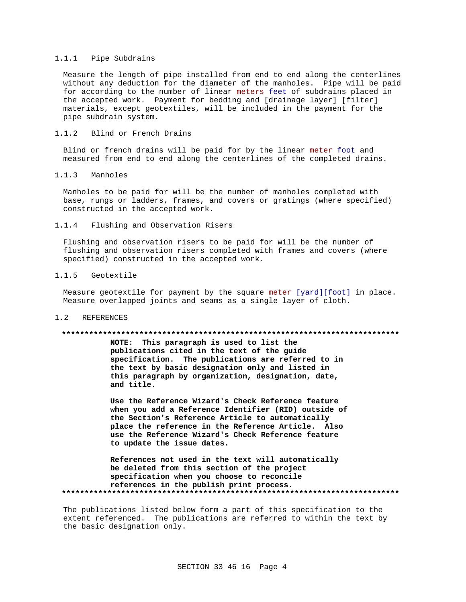# 1.1.1 Pipe Subdrains

Measure the length of pipe installed from end to end along the centerlines without any deduction for the diameter of the manholes. Pipe will be paid for according to the number of linear meters feet of subdrains placed in the accepted work. Payment for bedding and [drainage layer] [filter] materials, except geotextiles, will be included in the payment for the pipe subdrain system.

# 1.1.2 Blind or French Drains

Blind or french drains will be paid for by the linear meter foot and measured from end to end along the centerlines of the completed drains.

## 1.1.3 Manholes

Manholes to be paid for will be the number of manholes completed with base, rungs or ladders, frames, and covers or gratings (where specified) constructed in the accepted work.

1.1.4 Flushing and Observation Risers

Flushing and observation risers to be paid for will be the number of flushing and observation risers completed with frames and covers (where specified) constructed in the accepted work.

# 1.1.5 Geotextile

Measure geotextile for payment by the square meter [yard][foot] in place. Measure overlapped joints and seams as a single layer of cloth.

## 1.2 REFERENCES

### **\*\*\*\*\*\*\*\*\*\*\*\*\*\*\*\*\*\*\*\*\*\*\*\*\*\*\*\*\*\*\*\*\*\*\*\*\*\*\*\*\*\*\*\*\*\*\*\*\*\*\*\*\*\*\*\*\*\*\*\*\*\*\*\*\*\*\*\*\*\*\*\*\*\***

**NOTE: This paragraph is used to list the publications cited in the text of the guide specification. The publications are referred to in the text by basic designation only and listed in this paragraph by organization, designation, date, and title.**

**Use the Reference Wizard's Check Reference feature when you add a Reference Identifier (RID) outside of the Section's Reference Article to automatically place the reference in the Reference Article. Also use the Reference Wizard's Check Reference feature to update the issue dates.**

**References not used in the text will automatically be deleted from this section of the project specification when you choose to reconcile references in the publish print process. \*\*\*\*\*\*\*\*\*\*\*\*\*\*\*\*\*\*\*\*\*\*\*\*\*\*\*\*\*\*\*\*\*\*\*\*\*\*\*\*\*\*\*\*\*\*\*\*\*\*\*\*\*\*\*\*\*\*\*\*\*\*\*\*\*\*\*\*\*\*\*\*\*\***

The publications listed below form a part of this specification to the extent referenced. The publications are referred to within the text by the basic designation only.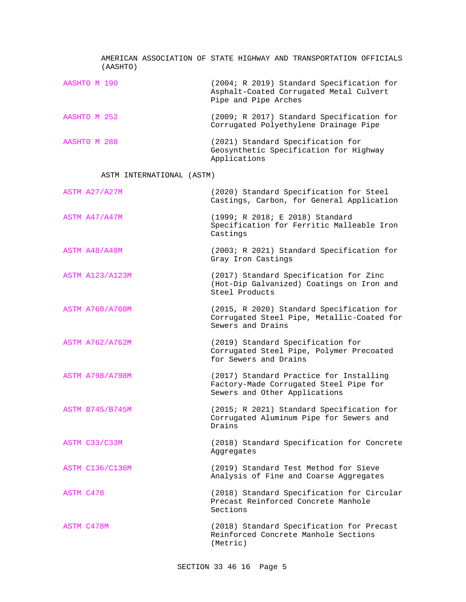| (AASHTO)                  | AMERICAN ASSOCIATION OF STATE HIGHWAY AND TRANSPORTATION OFFICIALS                                                 |
|---------------------------|--------------------------------------------------------------------------------------------------------------------|
| AASHTO M 190              | (2004; R 2019) Standard Specification for<br>Asphalt-Coated Corrugated Metal Culvert<br>Pipe and Pipe Arches       |
| AASHTO M 252              | (2009; R 2017) Standard Specification for<br>Corrugated Polyethylene Drainage Pipe                                 |
| AASHTO M 288              | (2021) Standard Specification for<br>Geosynthetic Specification for Highway<br>Applications                        |
| ASTM INTERNATIONAL (ASTM) |                                                                                                                    |
| ASTM A27/A27M             | (2020) Standard Specification for Steel<br>Castings, Carbon, for General Application                               |
| ASTM A47/A47M             | (1999; R 2018; E 2018) Standard<br>Specification for Ferritic Malleable Iron<br>Castings                           |
| ASTM A48/A48M             | (2003; R 2021) Standard Specification for<br>Gray Iron Castings                                                    |
| <b>ASTM A123/A123M</b>    | (2017) Standard Specification for Zinc<br>(Hot-Dip Galvanized) Coatings on Iron and<br>Steel Products              |
| <b>ASTM A760/A760M</b>    | (2015, R 2020) Standard Specification for<br>Corrugated Steel Pipe, Metallic-Coated for<br>Sewers and Drains       |
| <b>ASTM A762/A762M</b>    | (2019) Standard Specification for<br>Corrugated Steel Pipe, Polymer Precoated<br>for Sewers and Drains             |
| <b>ASTM A798/A798M</b>    | (2017) Standard Practice for Installing<br>Factory-Made Corrugated Steel Pipe for<br>Sewers and Other Applications |
| ASTM B745/B745M           | (2015; R 2021) Standard Specification for<br>Corrugated Aluminum Pipe for Sewers and<br>Drains                     |
| ASTM C33/C33M             | (2018) Standard Specification for Concrete<br>Aggregates                                                           |
| <b>ASTM C136/C136M</b>    | (2019) Standard Test Method for Sieve<br>Analysis of Fine and Coarse Aggregates                                    |
| ASTM C478                 | (2018) Standard Specification for Circular<br>Precast Reinforced Concrete Manhole<br>Sections                      |
| ASTM C478M                | (2018) Standard Specification for Precast<br>Reinforced Concrete Manhole Sections<br>(Metric)                      |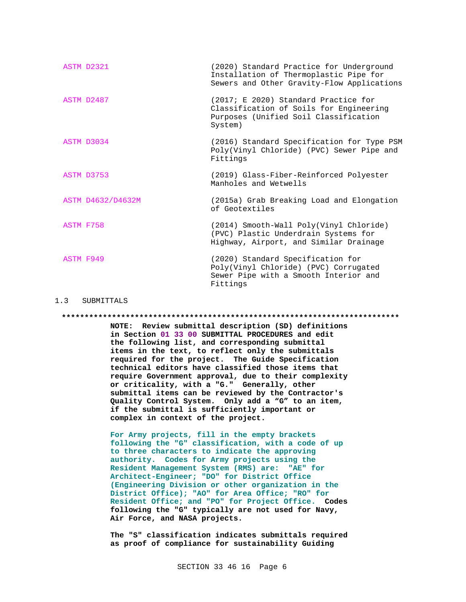| ASTM D2321        | (2020) Standard Practice for Underground<br>Installation of Thermoplastic Pipe for<br>Sewers and Other Gravity-Flow Applications    |
|-------------------|-------------------------------------------------------------------------------------------------------------------------------------|
| ASTM D2487        | (2017; E 2020) Standard Practice for<br>Classification of Soils for Engineering<br>Purposes (Unified Soil Classification<br>System) |
| ASTM D3034        | (2016) Standard Specification for Type PSM<br>Poly(Vinyl Chloride) (PVC) Sewer Pipe and<br>Fittings                                 |
| ASTM D3753        | (2019) Glass-Fiber-Reinforced Polyester<br>Manholes and Wetwells                                                                    |
| ASTM D4632/D4632M | (2015a) Grab Breaking Load and Elongation<br>of Geotextiles                                                                         |
| ASTM F758         | (2014) Smooth-Wall Poly(Vinyl Chloride)<br>(PVC) Plastic Underdrain Systems for<br>Highway, Airport, and Similar Drainage           |
| ASTM F949         | (2020) Standard Specification for<br>Poly(Vinyl Chloride) (PVC) Corrugated<br>Sewer Pipe with a Smooth Interior and<br>Fittings     |

### 1.3 SUBMITTALS

**\*\*\*\*\*\*\*\*\*\*\*\*\*\*\*\*\*\*\*\*\*\*\*\*\*\*\*\*\*\*\*\*\*\*\*\*\*\*\*\*\*\*\*\*\*\*\*\*\*\*\*\*\*\*\*\*\*\*\*\*\*\*\*\*\*\*\*\*\*\*\*\*\*\***

**NOTE: Review submittal description (SD) definitions in Section 01 33 00 SUBMITTAL PROCEDURES and edit the following list, and corresponding submittal items in the text, to reflect only the submittals required for the project. The Guide Specification technical editors have classified those items that require Government approval, due to their complexity or criticality, with a "G." Generally, other submittal items can be reviewed by the Contractor's Quality Control System. Only add a "G" to an item, if the submittal is sufficiently important or complex in context of the project.**

**For Army projects, fill in the empty brackets following the "G" classification, with a code of up to three characters to indicate the approving authority. Codes for Army projects using the Resident Management System (RMS) are: "AE" for Architect-Engineer; "DO" for District Office (Engineering Division or other organization in the District Office); "AO" for Area Office; "RO" for Resident Office; and "PO" for Project Office. Codes following the "G" typically are not used for Navy, Air Force, and NASA projects.**

**The "S" classification indicates submittals required as proof of compliance for sustainability Guiding**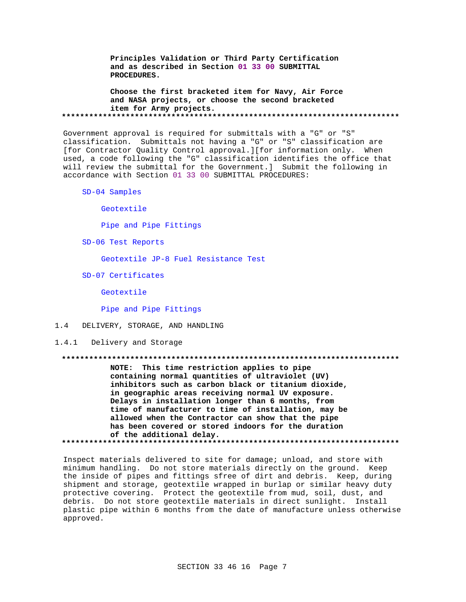Principles Validation or Third Party Certification and as described in Section 01 33 00 SUBMITTAL PROCEDURES.

Choose the first bracketed item for Navy, Air Force and NASA projects, or choose the second bracketed item for Army projects. 

Government approval is required for submittals with a "G" or "S" classification. Submittals not having a "G" or "S" classification are [for Contractor Quality Control approval.][for information only. When used, a code following the "G" classification identifies the office that will review the submittal for the Government.] Submit the following in accordance with Section 01 33 00 SUBMITTAL PROCEDURES:

SD-04 Samples

Geotextile

Pipe and Pipe Fittings

SD-06 Test Reports

Geotextile JP-8 Fuel Resistance Test

SD-07 Certificates

Geotextile

Pipe and Pipe Fittings

### $1.4$ DELIVERY, STORAGE, AND HANDLING

1.4.1 Delivery and Storage

NOTE: This time restriction applies to pipe containing normal quantities of ultraviolet (UV) inhibitors such as carbon black or titanium dioxide, in geographic areas receiving normal UV exposure. Delays in installation longer than 6 months, from time of manufacturer to time of installation, may be allowed when the Contractor can show that the pipe has been covered or stored indoors for the duration of the additional delay. 

Inspect materials delivered to site for damage; unload, and store with minimum handling. Do not store materials directly on the ground. Keep the inside of pipes and fittings sfree of dirt and debris. Keep, during shipment and storage, geotextile wrapped in burlap or similar heavy duty protective covering. Protect the geotextile from mud, soil, dust, and debris. Do not store geotextile materials in direct sunlight. Install plastic pipe within 6 months from the date of manufacture unless otherwise approved.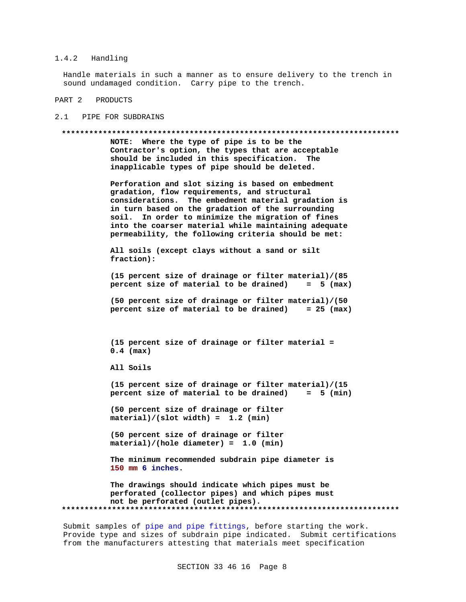# 1.4.2 Handling

Handle materials in such a manner as to ensure delivery to the trench in sound undamaged condition. Carry pipe to the trench.

PART 2 PRODUCTS

2.1 PIPE FOR SUBDRAINS

### **\*\*\*\*\*\*\*\*\*\*\*\*\*\*\*\*\*\*\*\*\*\*\*\*\*\*\*\*\*\*\*\*\*\*\*\*\*\*\*\*\*\*\*\*\*\*\*\*\*\*\*\*\*\*\*\*\*\*\*\*\*\*\*\*\*\*\*\*\*\*\*\*\*\***

**NOTE: Where the type of pipe is to be the Contractor's option, the types that are acceptable should be included in this specification. The inapplicable types of pipe should be deleted.**

**Perforation and slot sizing is based on embedment gradation, flow requirements, and structural considerations. The embedment material gradation is in turn based on the gradation of the surrounding soil. In order to minimize the migration of fines into the coarser material while maintaining adequate permeability, the following criteria should be met:**

```
All soils (except clays without a sand or silt
fraction):
```
**(15 percent size of drainage or filter material)/(85 percent size of material to be drained) = 5 (max)**

**(50 percent size of drainage or filter material)/(50 percent size of material to be drained) = 25 (max)**

**(15 percent size of drainage or filter material = 0.4 (max)**

**All Soils**

**(15 percent size of drainage or filter material)/(15 percent size of material to be drained) = 5 (min)**

**(50 percent size of drainage or filter material)/(slot width) = 1.2 (min)**

**(50 percent size of drainage or filter material)/(hole diameter) = 1.0 (min)**

**The minimum recommended subdrain pipe diameter is 150 mm 6 inches.**

**The drawings should indicate which pipes must be perforated (collector pipes) and which pipes must not be perforated (outlet pipes). \*\*\*\*\*\*\*\*\*\*\*\*\*\*\*\*\*\*\*\*\*\*\*\*\*\*\*\*\*\*\*\*\*\*\*\*\*\*\*\*\*\*\*\*\*\*\*\*\*\*\*\*\*\*\*\*\*\*\*\*\*\*\*\*\*\*\*\*\*\*\*\*\*\***

Submit samples of pipe and pipe fittings, before starting the work. Provide type and sizes of subdrain pipe indicated. Submit certifications from the manufacturers attesting that materials meet specification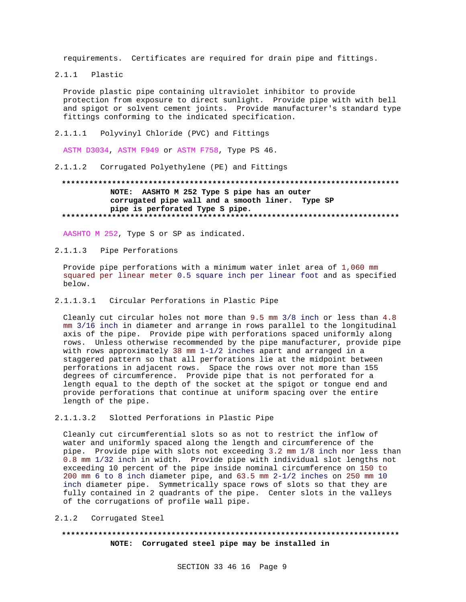requirements. Certificates are required for drain pipe and fittings.

 $2.1.1$ Plastic

> Provide plastic pipe containing ultraviolet inhibitor to provide protection from exposure to direct sunlight. Provide pipe with with bell and spigot or solvent cement joints. Provide manufacturer's standard type fittings conforming to the indicated specification.

 $2.1.1.1$ Polyvinyl Chloride (PVC) and Fittings

ASTM D3034, ASTM F949 or ASTM F758, Type PS 46.

 $2.1.1.2$ Corrugated Polyethylene (PE) and Fittings

# NOTE: AASHTO M 252 Type S pipe has an outer corrugated pipe wall and a smooth liner. Type SP pipe is perforated Type S pipe.

AASHTO M 252, Type S or SP as indicated.

 $2.1.1.3$ Pipe Perforations

Provide pipe perforations with a minimum water inlet area of 1,060 mm squared per linear meter 0.5 square inch per linear foot and as specified below.

2.1.1.3.1 Circular Perforations in Plastic Pipe

Cleanly cut circular holes not more than 9.5 mm 3/8 inch or less than 4.8 mm 3/16 inch in diameter and arrange in rows parallel to the longitudinal axis of the pipe. Provide pipe with perforations spaced uniformly along rows. Unless otherwise recommended by the pipe manufacturer, provide pipe with rows approximately 38 mm  $1-1/2$  inches apart and arranged in a staggered pattern so that all perforations lie at the midpoint between perforations in adjacent rows. Space the rows over not more than 155 degrees of circumference. Provide pipe that is not perforated for a length equal to the depth of the socket at the spigot or tongue end and provide perforations that continue at uniform spacing over the entire length of the pipe.

 $2.1.1.3.2$ Slotted Perforations in Plastic Pipe

Cleanly cut circumferential slots so as not to restrict the inflow of water and uniformly spaced along the length and circumference of the pipe. Provide pipe with slots not exceeding 3.2 mm 1/8 inch nor less than 0.8 mm 1/32 inch in width. Provide pipe with individual slot lengths not exceeding 10 percent of the pipe inside nominal circumference on 150 to 200 mm 6 to 8 inch diameter pipe, and 63.5 mm 2-1/2 inches on 250 mm 10 inch diameter pipe. Symmetrically space rows of slots so that they are fully contained in 2 quadrants of the pipe. Center slots in the valleys of the corrugations of profile wall pipe.

 $2.1.2$ Corrugated Steel

# NOTE: Corrugated steel pipe may be installed in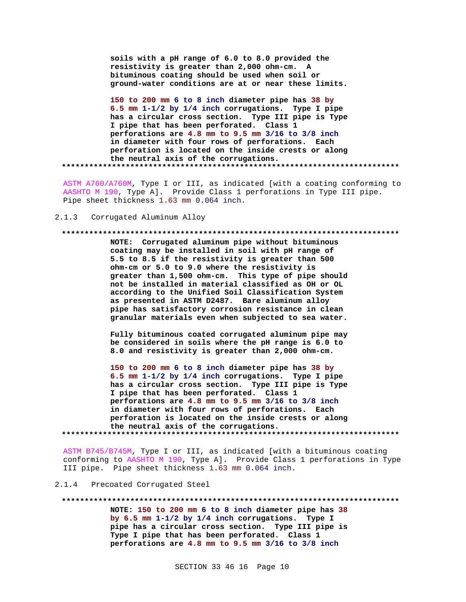**soils with a pH range of 6.0 to 8.0 provided the resistivity is greater than 2,000 ohm-cm. A bituminous coating should be used when soil or ground-water conditions are at or near these limits.**

**150 to 200 mm 6 to 8 inch diameter pipe has 38 by 6.5 mm 1-1/2 by 1/4 inch corrugations. Type I pipe has a circular cross section. Type III pipe is Type I pipe that has been perforated. Class 1 perforations are 4.8 mm to 9.5 mm 3/16 to 3/8 inch in diameter with four rows of perforations. Each perforation is located on the inside crests or along the neutral axis of the corrugations. \*\*\*\*\*\*\*\*\*\*\*\*\*\*\*\*\*\*\*\*\*\*\*\*\*\*\*\*\*\*\*\*\*\*\*\*\*\*\*\*\*\*\*\*\*\*\*\*\*\*\*\*\*\*\*\*\*\*\*\*\*\*\*\*\*\*\*\*\*\*\*\*\*\***

ASTM A760/A760M, Type I or III, as indicated [with a coating conforming to AASHTO M 190, Type A]. Provide Class 1 perforations in Type III pipe. Pipe sheet thickness 1.63 mm 0.064 inch.

2.1.3 Corrugated Aluminum Alloy

### **\*\*\*\*\*\*\*\*\*\*\*\*\*\*\*\*\*\*\*\*\*\*\*\*\*\*\*\*\*\*\*\*\*\*\*\*\*\*\*\*\*\*\*\*\*\*\*\*\*\*\*\*\*\*\*\*\*\*\*\*\*\*\*\*\*\*\*\*\*\*\*\*\*\***

**NOTE: Corrugated aluminum pipe without bituminous coating may be installed in soil with pH range of 5.5 to 8.5 if the resistivity is greater than 500 ohm-cm or 5.0 to 9.0 where the resistivity is greater than 1,500 ohm-cm. This type of pipe should not be installed in material classified as OH or OL according to the Unified Soil Classification System as presented in ASTM D2487. Bare aluminum alloy pipe has satisfactory corrosion resistance in clean granular materials even when subjected to sea water.**

**Fully bituminous coated corrugated aluminum pipe may be considered in soils where the pH range is 6.0 to 8.0 and resistivity is greater than 2,000 ohm-cm.**

**150 to 200 mm 6 to 8 inch diameter pipe has 38 by 6.5 mm 1-1/2 by 1/4 inch corrugations. Type I pipe has a circular cross section. Type III pipe is Type I pipe that has been perforated. Class 1 perforations are 4.8 mm to 9.5 mm 3/16 to 3/8 inch in diameter with four rows of perforations. Each perforation is located on the inside crests or along the neutral axis of the corrugations. \*\*\*\*\*\*\*\*\*\*\*\*\*\*\*\*\*\*\*\*\*\*\*\*\*\*\*\*\*\*\*\*\*\*\*\*\*\*\*\*\*\*\*\*\*\*\*\*\*\*\*\*\*\*\*\*\*\*\*\*\*\*\*\*\*\*\*\*\*\*\*\*\*\***

ASTM B745/B745M, Type I or III, as indicated [with a bituminous coating conforming to AASHTO M 190, Type A]. Provide Class 1 perforations in Type III pipe. Pipe sheet thickness 1.63 mm 0.064 inch.

2.1.4 Precoated Corrugated Steel

**\*\*\*\*\*\*\*\*\*\*\*\*\*\*\*\*\*\*\*\*\*\*\*\*\*\*\*\*\*\*\*\*\*\*\*\*\*\*\*\*\*\*\*\*\*\*\*\*\*\*\*\*\*\*\*\*\*\*\*\*\*\*\*\*\*\*\*\*\*\*\*\*\*\* NOTE: 150 to 200 mm 6 to 8 inch diameter pipe has 38 by 6.5 mm 1-1/2 by 1/4 inch corrugations. Type I pipe has a circular cross section. Type III pipe is Type I pipe that has been perforated. Class 1 perforations are 4.8 mm to 9.5 mm 3/16 to 3/8 inch**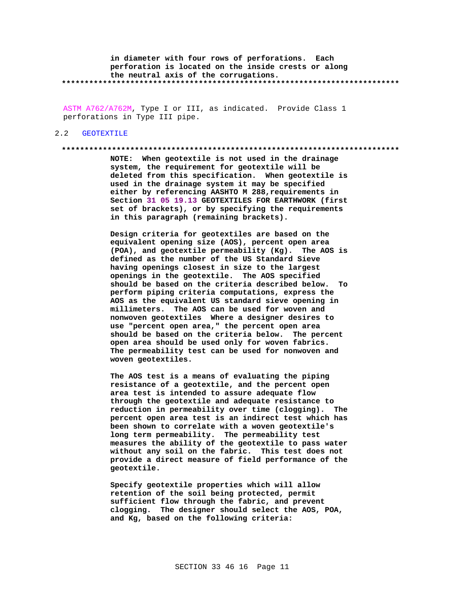**in diameter with four rows of perforations. Each perforation is located on the inside crests or along the neutral axis of the corrugations. \*\*\*\*\*\*\*\*\*\*\*\*\*\*\*\*\*\*\*\*\*\*\*\*\*\*\*\*\*\*\*\*\*\*\*\*\*\*\*\*\*\*\*\*\*\*\*\*\*\*\*\*\*\*\*\*\*\*\*\*\*\*\*\*\*\*\*\*\*\*\*\*\*\***

ASTM A762/A762M, Type I or III, as indicated. Provide Class 1 perforations in Type III pipe.

### 2.2 GEOTEXTILE

### **\*\*\*\*\*\*\*\*\*\*\*\*\*\*\*\*\*\*\*\*\*\*\*\*\*\*\*\*\*\*\*\*\*\*\*\*\*\*\*\*\*\*\*\*\*\*\*\*\*\*\*\*\*\*\*\*\*\*\*\*\*\*\*\*\*\*\*\*\*\*\*\*\*\***

**NOTE: When geotextile is not used in the drainage system, the requirement for geotextile will be deleted from this specification. When geotextile is used in the drainage system it may be specified either by referencing AASHTO M 288,requirements in Section 31 05 19.13 GEOTEXTILES FOR EARTHWORK (first set of brackets), or by specifying the requirements in this paragraph (remaining brackets).**

**Design criteria for geotextiles are based on the equivalent opening size (AOS), percent open area (POA), and geotextile permeability (Kg). The AOS is defined as the number of the US Standard Sieve having openings closest in size to the largest openings in the geotextile. The AOS specified should be based on the criteria described below. To perform piping criteria computations, express the AOS as the equivalent US standard sieve opening in millimeters. The AOS can be used for woven and nonwoven geotextiles Where a designer desires to use "percent open area," the percent open area should be based on the criteria below. The percent open area should be used only for woven fabrics. The permeability test can be used for nonwoven and woven geotextiles.**

**The AOS test is a means of evaluating the piping resistance of a geotextile, and the percent open area test is intended to assure adequate flow through the geotextile and adequate resistance to reduction in permeability over time (clogging). The percent open area test is an indirect test which has been shown to correlate with a woven geotextile's long term permeability. The permeability test measures the ability of the geotextile to pass water without any soil on the fabric. This test does not provide a direct measure of field performance of the geotextile.**

**Specify geotextile properties which will allow retention of the soil being protected, permit sufficient flow through the fabric, and prevent clogging. The designer should select the AOS, POA, and Kg, based on the following criteria:**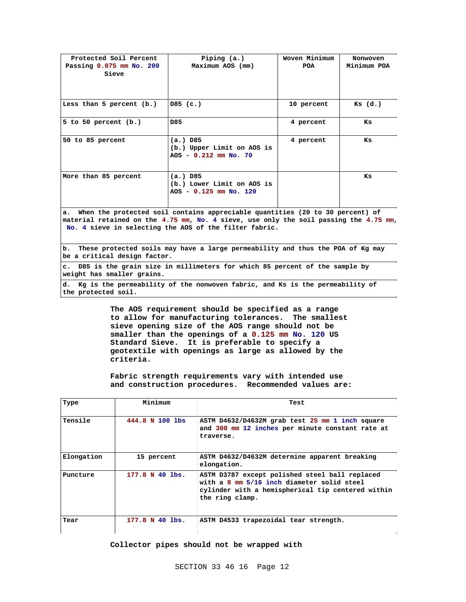| Protected Soil Percent<br>Passing 0.075 mm No. 200<br>Sieve                                                                                                                                                                         | Piping (a.)<br>Maximum AOS (mm)                                       | Woven Minimum<br>POA | Nonwoven<br>Minimum POA |  |  |
|-------------------------------------------------------------------------------------------------------------------------------------------------------------------------------------------------------------------------------------|-----------------------------------------------------------------------|----------------------|-------------------------|--|--|
| Less than 5 percent (b.)                                                                                                                                                                                                            | DS(G.)                                                                | 10 percent           | $KS$ $(d.)$             |  |  |
| 5 to 50 percent $(b.)$                                                                                                                                                                                                              | D85                                                                   | 4 percent            | Ks                      |  |  |
| 50 to 85 percent                                                                                                                                                                                                                    | $(a.)$ D85<br>(b.) Upper Limit on AOS is<br>$AOS - 0.212$ mm $No. 70$ | 4 percent            | Ks                      |  |  |
| More than 85 percent                                                                                                                                                                                                                | $(a.)$ D85<br>(b.) Lower Limit on AOS is<br>AOS - 0.125 mm No. 120    |                      | Ks                      |  |  |
| a. When the protected soil contains appreciable quantities (20 to 30 percent) of<br>material retained on the 4.75 mm, No. 4 sieve, use only the soil passing the 4.75 mm,<br>No. 4 sieve in selecting the AOS of the filter fabric. |                                                                       |                      |                         |  |  |
| These protected soils may have a large permeability and thus the POA of Kg may<br>b.<br>be a critical design factor.                                                                                                                |                                                                       |                      |                         |  |  |
| D85 is the grain size in millimeters for which 85 percent of the sample by<br>$\mathbf{c}$ .<br>weight has smaller grains.                                                                                                          |                                                                       |                      |                         |  |  |
| d. Kg is the permeability of the nonwoven fabric, and Ks is the permeability of                                                                                                                                                     |                                                                       |                      |                         |  |  |

**the protected soil.**

**The AOS requirement should be specified as a range to allow for manufacturing tolerances. The smallest sieve opening size of the AOS range should not be smaller than the openings of a 0.125 mm No. 120 US Standard Sieve. It is preferable to specify a geotextile with openings as large as allowed by the criteria.**

**Fabric strength requirements vary with intended use and construction procedures. Recommended values are:**

| Type       | Minimum         | Test                                                                                                                                                                 |
|------------|-----------------|----------------------------------------------------------------------------------------------------------------------------------------------------------------------|
| Tensile    | 444.8 N 100 lbs | ASTM D4632/D4632M grab test 25 mm 1 inch square<br>and 300 mm 12 inches per minute constant rate at<br>traverse.                                                     |
| Elongation | 15 percent      | ASTM D4632/D4632M determine apparent breaking<br>elongation.                                                                                                         |
| Puncture   | 177.8 N 40 lbs. | ASTM D3787 except polished steel ball replaced<br>with a 8 mm 5/16 inch diameter solid steel<br>cylinder with a hemispherical tip centered within<br>the ring clamp. |
| Tear       | 177.8 N 40 lbs. | ASTM D4533 trapezoidal tear strength.                                                                                                                                |

**Collector pipes should not be wrapped with**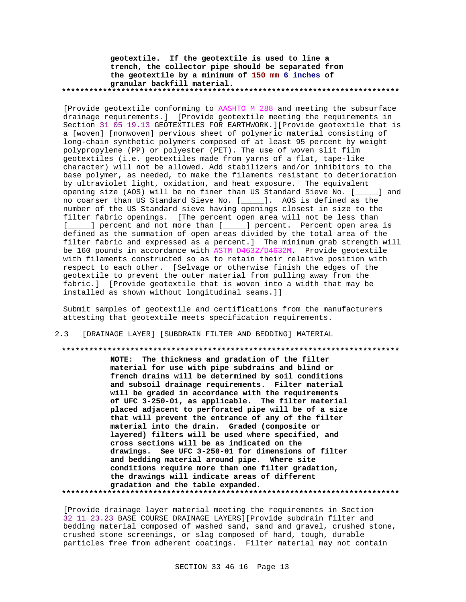**geotextile. If the geotextile is used to line a trench, the collector pipe should be separated from the geotextile by a minimum of 150 mm 6 inches of granular backfill material. \*\*\*\*\*\*\*\*\*\*\*\*\*\*\*\*\*\*\*\*\*\*\*\*\*\*\*\*\*\*\*\*\*\*\*\*\*\*\*\*\*\*\*\*\*\*\*\*\*\*\*\*\*\*\*\*\*\*\*\*\*\*\*\*\*\*\*\*\*\*\*\*\*\***

[Provide geotextile conforming to AASHTO M 288 and meeting the subsurface drainage requirements.] [Provide geotextile meeting the requirements in Section 31 05 19.13 GEOTEXTILES FOR EARTHWORK.][Provide geotextile that is a [woven] [nonwoven] pervious sheet of polymeric material consisting of long-chain synthetic polymers composed of at least 95 percent by weight polypropylene (PP) or polyester (PET). The use of woven slit film geotextiles (i.e. geotextiles made from yarns of a flat, tape-like character) will not be allowed. Add stabilizers and/or inhibitors to the base polymer, as needed, to make the filaments resistant to deterioration by ultraviolet light, oxidation, and heat exposure. The equivalent opening size (AOS) will be no finer than US Standard Sieve No. [\_\_\_\_\_] and no coarser than US Standard Sieve No. [\_\_\_\_\_]. AOS is defined as the number of the US Standard sieve having openings closest in size to the filter fabric openings. [The percent open area will not be less than [\_\_\_\_\_] percent and not more than [\_\_\_\_\_] percent. Percent open area is defined as the summation of open areas divided by the total area of the filter fabric and expressed as a percent.] The minimum grab strength will be 160 pounds in accordance with ASTM D4632/D4632M. Provide geotextile with filaments constructed so as to retain their relative position with respect to each other. [Selvage or otherwise finish the edges of the geotextile to prevent the outer material from pulling away from the fabric.] [Provide geotextile that is woven into a width that may be installed as shown without longitudinal seams.]]

Submit samples of geotextile and certifications from the manufacturers attesting that geotextile meets specification requirements.

2.3 [DRAINAGE LAYER] [SUBDRAIN FILTER AND BEDDING] MATERIAL

# **\*\*\*\*\*\*\*\*\*\*\*\*\*\*\*\*\*\*\*\*\*\*\*\*\*\*\*\*\*\*\*\*\*\*\*\*\*\*\*\*\*\*\*\*\*\*\*\*\*\*\*\*\*\*\*\*\*\*\*\*\*\*\*\*\*\*\*\*\*\*\*\*\*\***

**NOTE: The thickness and gradation of the filter material for use with pipe subdrains and blind or french drains will be determined by soil conditions and subsoil drainage requirements. Filter material will be graded in accordance with the requirements of UFC 3-250-01, as applicable. The filter material placed adjacent to perforated pipe will be of a size that will prevent the entrance of any of the filter material into the drain. Graded (composite or layered) filters will be used where specified, and cross sections will be as indicated on the drawings. See UFC 3-250-01 for dimensions of filter and bedding material around pipe. Where site conditions require more than one filter gradation, the drawings will indicate areas of different gradation and the table expanded. \*\*\*\*\*\*\*\*\*\*\*\*\*\*\*\*\*\*\*\*\*\*\*\*\*\*\*\*\*\*\*\*\*\*\*\*\*\*\*\*\*\*\*\*\*\*\*\*\*\*\*\*\*\*\*\*\*\*\*\*\*\*\*\*\*\*\*\*\*\*\*\*\*\***

[Provide drainage layer material meeting the requirements in Section 32 11 23.23 BASE COURSE DRAINAGE LAYERS][Provide subdrain filter and bedding material composed of washed sand, sand and gravel, crushed stone, crushed stone screenings, or slag composed of hard, tough, durable particles free from adherent coatings. Filter material may not contain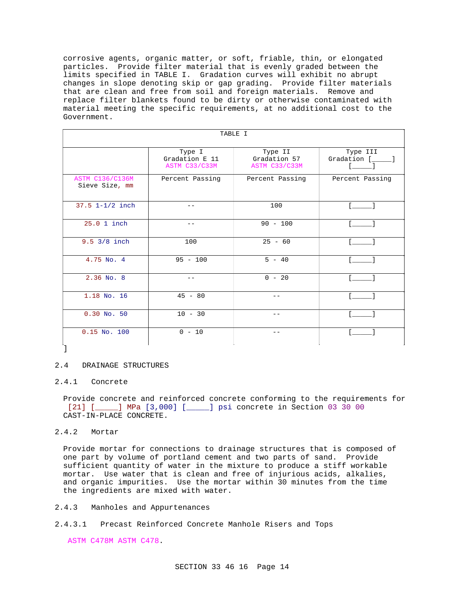corrosive agents, organic matter, or soft, friable, thin, or elongated particles. Provide filter material that is evenly graded between the limits specified in TABLE I. Gradation curves will exhibit no abrupt changes in slope denoting skip or gap grading. Provide filter materials that are clean and free from soil and foreign materials. Remove and replace filter blankets found to be dirty or otherwise contaminated with material meeting the specific requirements, at no additional cost to the Government.

| TABLE I                                  |                                           |                                          |                         |  |  |  |
|------------------------------------------|-------------------------------------------|------------------------------------------|-------------------------|--|--|--|
|                                          | Type I<br>Gradation E 11<br>ASTM C33/C33M | Type II<br>Gradation 57<br>ASTM C33/C33M | Type III<br>Gradation [ |  |  |  |
| <b>ASTM C136/C136M</b><br>Sieve Size, mm | Percent Passing                           | Percent Passing                          | Percent Passing         |  |  |  |
| $37.5$ $1 - 1/2$ inch                    | - -                                       | 100                                      | <b>Contract</b>         |  |  |  |
| 25.0 1 inch                              | $- -$                                     | $90 - 100$                               | $\mathbf{r}$            |  |  |  |
| $9.5 \frac{3}{8}$ inch                   | 100                                       | $25 - 60$                                |                         |  |  |  |
| 4.75 No. 4                               | $95 - 100$                                | $5 - 40$                                 |                         |  |  |  |
| $2.36$ No. 8                             | $- -$                                     | $0 - 20$                                 |                         |  |  |  |
| 1.18 No. 16                              | $45 - 80$                                 | $=$ $-$                                  |                         |  |  |  |
| $0.30$ No. 50                            | $10 - 30$                                 |                                          |                         |  |  |  |
| $0.15$ No. $100$                         | $0 - 10$                                  | - -                                      |                         |  |  |  |

# 2.4 DRAINAGE STRUCTURES

## 2.4.1 Concrete

Provide concrete and reinforced concrete conforming to the requirements for [21] [  $\blacksquare$  ] MPa [3,000] [ ] psi concrete in Section 03 30 00 CAST-IN-PLACE CONCRETE.

# 2.4.2 Mortar

Provide mortar for connections to drainage structures that is composed of one part by volume of portland cement and two parts of sand. Provide sufficient quantity of water in the mixture to produce a stiff workable mortar. Use water that is clean and free of injurious acids, alkalies, and organic impurities. Use the mortar within 30 minutes from the time the ingredients are mixed with water.

- 2.4.3 Manholes and Appurtenances
- 2.4.3.1 Precast Reinforced Concrete Manhole Risers and Tops

ASTM C478M ASTM C478.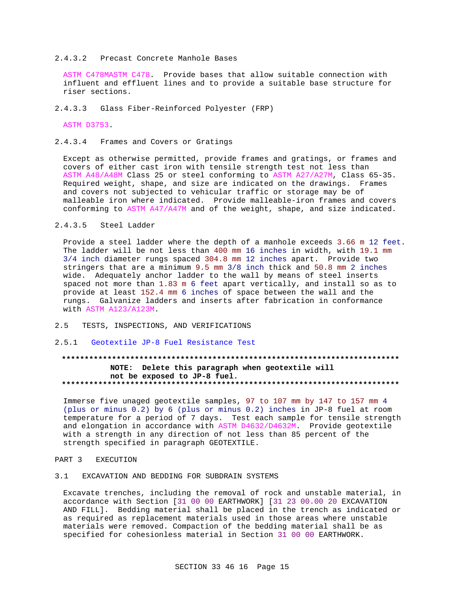## 2.4.3.2 Precast Concrete Manhole Bases

ASTM C478MASTM C478. Provide bases that allow suitable connection with influent and effluent lines and to provide a suitable base structure for riser sections.

2.4.3.3 Glass Fiber-Reinforced Polyester (FRP)

ASTM D3753.

2.4.3.4 Frames and Covers or Gratings

Except as otherwise permitted, provide frames and gratings, or frames and covers of either cast iron with tensile strength test not less than ASTM A48/A48M Class 25 or steel conforming to ASTM A27/A27M, Class 65-35. Required weight, shape, and size are indicated on the drawings. Frames and covers not subjected to vehicular traffic or storage may be of malleable iron where indicated. Provide malleable-iron frames and covers conforming to ASTM A47/A47M and of the weight, shape, and size indicated.

### $2.4.3.5$ Steel Ladder

Provide a steel ladder where the depth of a manhole exceeds 3.66 m 12 feet. The ladder will be not less than 400 mm 16 inches in width, with 19.1 mm 3/4 inch diameter rungs spaced 304.8 mm 12 inches apart. Provide two stringers that are a minimum 9.5 mm 3/8 inch thick and 50.8 mm 2 inches wide. Adequately anchor ladder to the wall by means of steel inserts spaced not more than 1.83 m 6 feet apart vertically, and install so as to provide at least 152.4 mm 6 inches of space between the wall and the rungs. Galvanize ladders and inserts after fabrication in conformance with ASTM A123/A123M.

- $2.5$ TESTS, INSPECTIONS, AND VERIFICATIONS
- 2.5.1 Geotextile JP-8 Fuel Resistance Test

# NOTE: Delete this paragraph when geotextile will not be exposed to JP-8 fuel.

Immerse five unaged geotextile samples, 97 to 107 mm by 147 to 157 mm 4 (plus or minus 0.2) by 6 (plus or minus 0.2) inches in JP-8 fuel at room temperature for a period of 7 days. Test each sample for tensile strength and elongation in accordance with ASTM D4632/D4632M. Provide geotextile with a strength in any direction of not less than 85 percent of the strength specified in paragraph GEOTEXTILE.

PART<sub>3</sub> **EXECUTION** 

### EXCAVATION AND BEDDING FOR SUBDRAIN SYSTEMS  $3.1$

Excavate trenches, including the removal of rock and unstable material, in accordance with Section [31 00 00 EARTHWORK] [31 23 00.00 20 EXCAVATION AND FILL]. Bedding material shall be placed in the trench as indicated or as required as replacement materials used in those areas where unstable materials were removed. Compaction of the bedding material shall be as specified for cohesionless material in Section 31 00 00 EARTHWORK.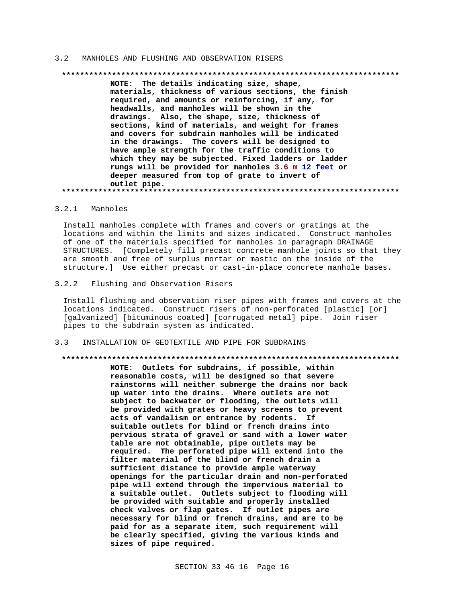#### MANHOLES AND FLUSHING AND OBSERVATION RISERS  $3<sub>2</sub>$

# 

NOTE: The details indicating size, shape, materials, thickness of various sections, the finish required, and amounts or reinforcing, if any, for headwalls, and manholes will be shown in the drawings. Also, the shape, size, thickness of sections, kind of materials, and weight for frames and covers for subdrain manholes will be indicated in the drawings. The covers will be designed to have ample strength for the traffic conditions to which they may be subjected. Fixed ladders or ladder rungs will be provided for manholes 3.6 m 12 feet or deeper measured from top of grate to invert of outlet pipe. 

### 3.2.1 Manholes

Install manholes complete with frames and covers or gratings at the locations and within the limits and sizes indicated. Construct manholes of one of the materials specified for manholes in paragraph DRAINAGE STRUCTURES. [Completely fill precast concrete manhole joints so that they are smooth and free of surplus mortar or mastic on the inside of the structure.] Use either precast or cast-in-place concrete manhole bases.

### $3.2.2$ Flushing and Observation Risers

Install flushing and observation riser pipes with frames and covers at the locations indicated. Construct risers of non-perforated [plastic] [or] [galvanized] [bituminous coated] [corrugated metal] pipe. Join riser pipes to the subdrain system as indicated.

#### INSTALLATION OF GEOTEXTILE AND PIPE FOR SUBDRAINS  $3.3$

### 

NOTE: Outlets for subdrains, if possible, within reasonable costs, will be designed so that severe rainstorms will neither submerge the drains nor back up water into the drains. Where outlets are not subject to backwater or flooding, the outlets will be provided with grates or heavy screens to prevent acts of vandalism or entrance by rodents. If suitable outlets for blind or french drains into pervious strata of gravel or sand with a lower water table are not obtainable, pipe outlets may be required. The perforated pipe will extend into the filter material of the blind or french drain a sufficient distance to provide ample waterway openings for the particular drain and non-perforated pipe will extend through the impervious material to a suitable outlet. Outlets subject to flooding will be provided with suitable and properly installed check valves or flap gates. If outlet pipes are necessary for blind or french drains, and are to be paid for as a separate item, such requirement will be clearly specified, giving the various kinds and sizes of pipe required.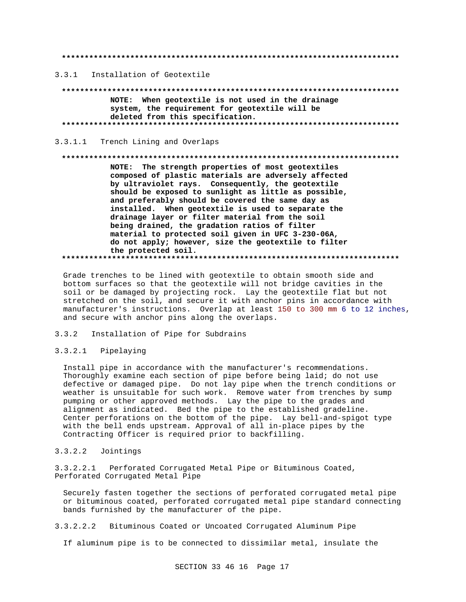3.3.1 Installation of Geotextile

. . . . . . . . . . . . . . . . . NOTE: When geotextile is not used in the drainage system, the requirement for geotextile will be deleted from this specification. 

3.3.1.1 Trench Lining and Overlaps

### 

NOTE: The strength properties of most geotextiles composed of plastic materials are adversely affected by ultraviolet rays. Consequently, the geotextile should be exposed to sunlight as little as possible, and preferably should be covered the same day as installed. When geotextile is used to separate the drainage layer or filter material from the soil being drained, the gradation ratios of filter material to protected soil given in UFC 3-230-06A, do not apply; however, size the geotextile to filter the protected soil. 

Grade trenches to be lined with geotextile to obtain smooth side and bottom surfaces so that the geotextile will not bridge cavities in the soil or be damaged by projecting rock. Lay the geotextile flat but not stretched on the soil, and secure it with anchor pins in accordance with manufacturer's instructions. Overlap at least 150 to 300 mm 6 to 12 inches, and secure with anchor pins along the overlaps.

### Installation of Pipe for Subdrains  $3 \times 2$

### $3.3.2.1$ Pipelaying

Install pipe in accordance with the manufacturer's recommendations. Thoroughly examine each section of pipe before being laid; do not use defective or damaged pipe. Do not lay pipe when the trench conditions or weather is unsuitable for such work. Remove water from trenches by sump pumping or other approved methods. Lay the pipe to the grades and alignment as indicated. Bed the pipe to the established gradeline. Center perforations on the bottom of the pipe. Lay bell-and-spigot type with the bell ends upstream. Approval of all in-place pipes by the Contracting Officer is required prior to backfilling.

### $3.3.2.2$ Jointings

3.3.2.2.1 Perforated Corrugated Metal Pipe or Bituminous Coated, Perforated Corrugated Metal Pipe

Securely fasten together the sections of perforated corrugated metal pipe or bituminous coated, perforated corrugated metal pipe standard connecting bands furnished by the manufacturer of the pipe.

### $3.3.2.2.2$ Bituminous Coated or Uncoated Corrugated Aluminum Pipe

If aluminum pipe is to be connected to dissimilar metal, insulate the